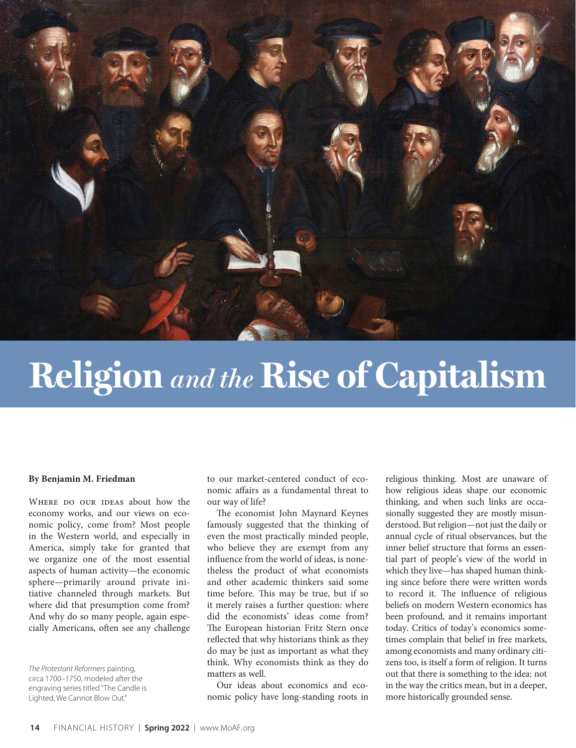

## **Religion** *and the* **Rise of Capitalism**

## **By Benjamin M. Friedman**

WHERE DO OUR IDEAS about how the economy works, and our views on economic policy, come from? Most people in the Western world, and especially in America, simply take for granted that we organize one of the most essential aspects of human activity—the economic sphere—primarily around private initiative channeled through markets. But where did that presumption come from? And why do so many people, again especially Americans, often see any challenge

*The Protestant Reformers* painting, circa 1700–1750, modeled after the engraving series titled "The Candle is Lighted, We Cannot Blow Out."

to our market-centered conduct of economic affairs as a fundamental threat to our way of life?

The economist John Maynard Keynes famously suggested that the thinking of even the most practically minded people, who believe they are exempt from any influence from the world of ideas, is nonetheless the product of what economists and other academic thinkers said some time before. This may be true, but if so it merely raises a further question: where did the economists' ideas come from? The European historian Fritz Stern once reflected that why historians think as they do may be just as important as what they think. Why economists think as they do matters as well.

Our ideas about economics and economic policy have long-standing roots in religious thinking. Most are unaware of how religious ideas shape our economic thinking, and when such links are occasionally suggested they are mostly misunderstood. But religion—not just the daily or annual cycle of ritual observances, but the inner belief structure that forms an essential part of people's view of the world in which they live—has shaped human thinking since before there were written words to record it. The influence of religious beliefs on modern Western economics has been profound, and it remains important today. Critics of today's economics sometimes complain that belief in free markets, among economists and many ordinary citizens too, is itself a form of religion. It turns out that there is something to the idea: not in the way the critics mean, but in a deeper, more historically grounded sense.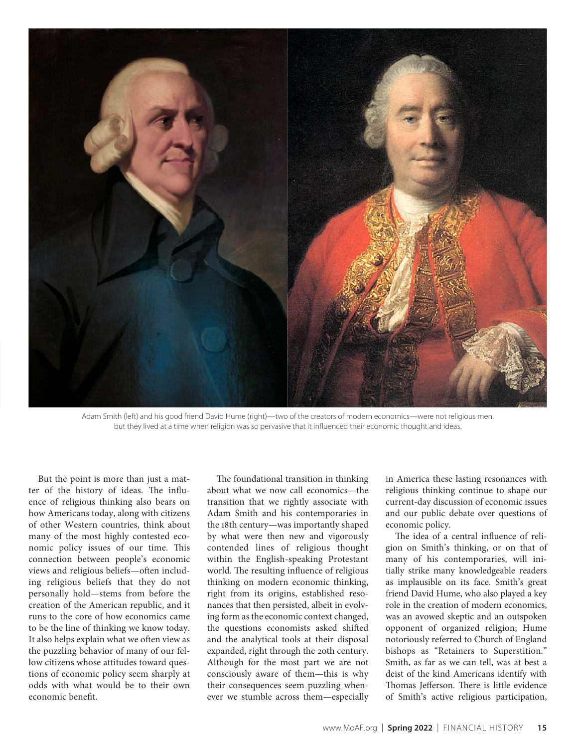

Adam Smith (left) and his good friend David Hume (right)—two of the creators of modern economics—were not religious men, but they lived at a time when religion was so pervasive that it influenced their economic thought and ideas.

But the point is more than just a matter of the history of ideas. The influence of religious thinking also bears on how Americans today, along with citizens of other Western countries, think about many of the most highly contested economic policy issues of our time. This connection between people's economic views and religious beliefs—often including religious beliefs that they do not personally hold—stems from before the creation of the American republic, and it runs to the core of how economics came to be the line of thinking we know today. It also helps explain what we often view as the puzzling behavior of many of our fellow citizens whose attitudes toward questions of economic policy seem sharply at odds with what would be to their own economic benefit.

The foundational transition in thinking about what we now call economics—the transition that we rightly associate with Adam Smith and his contemporaries in the 18th century—was importantly shaped by what were then new and vigorously contended lines of religious thought within the English-speaking Protestant world. The resulting influence of religious thinking on modern economic thinking, right from its origins, established resonances that then persisted, albeit in evolving form as the economic context changed, the questions economists asked shifted and the analytical tools at their disposal expanded, right through the 20th century. Although for the most part we are not consciously aware of them—this is why their consequences seem puzzling whenever we stumble across them—especially in America these lasting resonances with religious thinking continue to shape our current-day discussion of economic issues and our public debate over questions of economic policy.

The idea of a central influence of religion on Smith's thinking, or on that of many of his contemporaries, will initially strike many knowledgeable readers as implausible on its face. Smith's great friend David Hume, who also played a key role in the creation of modern economics, was an avowed skeptic and an outspoken opponent of organized religion; Hume notoriously referred to Church of England bishops as "Retainers to Superstition." Smith, as far as we can tell, was at best a deist of the kind Americans identify with Thomas Jefferson. There is little evidence of Smith's active religious participation,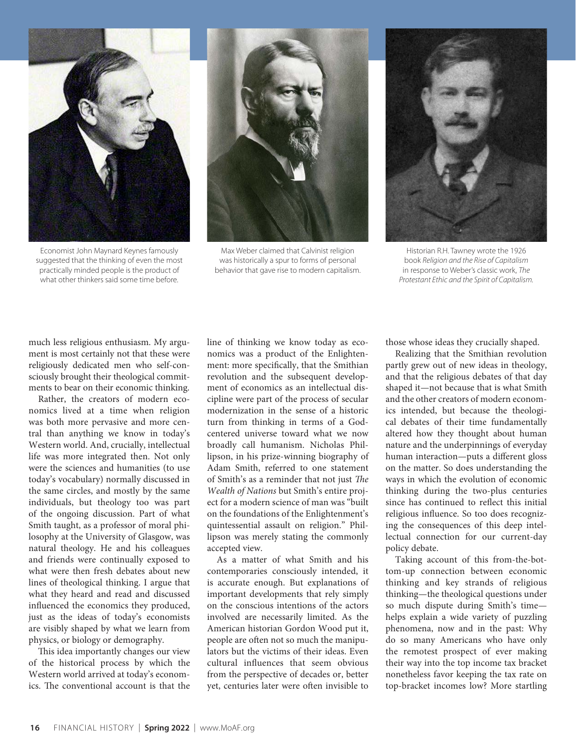

Economist John Maynard Keynes famously suggested that the thinking of even the most practically minded people is the product of what other thinkers said some time before.



Max Weber claimed that Calvinist religion was historically a spur to forms of personal behavior that gave rise to modern capitalism.



Historian R.H. Tawney wrote the 1926 book *Religion and the Rise of Capitalism* in response to Weber's classic work, *The Protestant Ethic and the Spirit of Capitalism.*

much less religious enthusiasm. My argument is most certainly not that these were religiously dedicated men who self-consciously brought their theological commitments to bear on their economic thinking.

Rather, the creators of modern economics lived at a time when religion was both more pervasive and more central than anything we know in today's Western world. And, crucially, intellectual life was more integrated then. Not only were the sciences and humanities (to use today's vocabulary) normally discussed in the same circles, and mostly by the same individuals, but theology too was part of the ongoing discussion. Part of what Smith taught, as a professor of moral philosophy at the University of Glasgow, was natural theology. He and his colleagues and friends were continually exposed to what were then fresh debates about new lines of theological thinking. I argue that what they heard and read and discussed influenced the economics they produced, just as the ideas of today's economists are visibly shaped by what we learn from physics, or biology or demography.

This idea importantly changes our view of the historical process by which the Western world arrived at today's economics. The conventional account is that the

line of thinking we know today as economics was a product of the Enlightenment: more specifically, that the Smithian revolution and the subsequent development of economics as an intellectual discipline were part of the process of secular modernization in the sense of a historic turn from thinking in terms of a Godcentered universe toward what we now broadly call humanism. Nicholas Phillipson, in his prize-winning biography of Adam Smith, referred to one statement of Smith's as a reminder that not just *The Wealth of Nations* but Smith's entire project for a modern science of man was "built on the foundations of the Enlightenment's quintessential assault on religion." Phillipson was merely stating the commonly accepted view.

As a matter of what Smith and his contemporaries consciously intended, it is accurate enough. But explanations of important developments that rely simply on the conscious intentions of the actors involved are necessarily limited. As the American historian Gordon Wood put it, people are often not so much the manipulators but the victims of their ideas. Even cultural influences that seem obvious from the perspective of decades or, better yet, centuries later were often invisible to those whose ideas they crucially shaped.

Realizing that the Smithian revolution partly grew out of new ideas in theology, and that the religious debates of that day shaped it—not because that is what Smith and the other creators of modern economics intended, but because the theological debates of their time fundamentally altered how they thought about human nature and the underpinnings of everyday human interaction—puts a different gloss on the matter. So does understanding the ways in which the evolution of economic thinking during the two-plus centuries since has continued to reflect this initial religious influence. So too does recognizing the consequences of this deep intellectual connection for our current-day policy debate.

Taking account of this from-the-bottom-up connection between economic thinking and key strands of religious thinking—the theological questions under so much dispute during Smith's time helps explain a wide variety of puzzling phenomena, now and in the past: Why do so many Americans who have only the remotest prospect of ever making their way into the top income tax bracket nonetheless favor keeping the tax rate on top-bracket incomes low? More startling